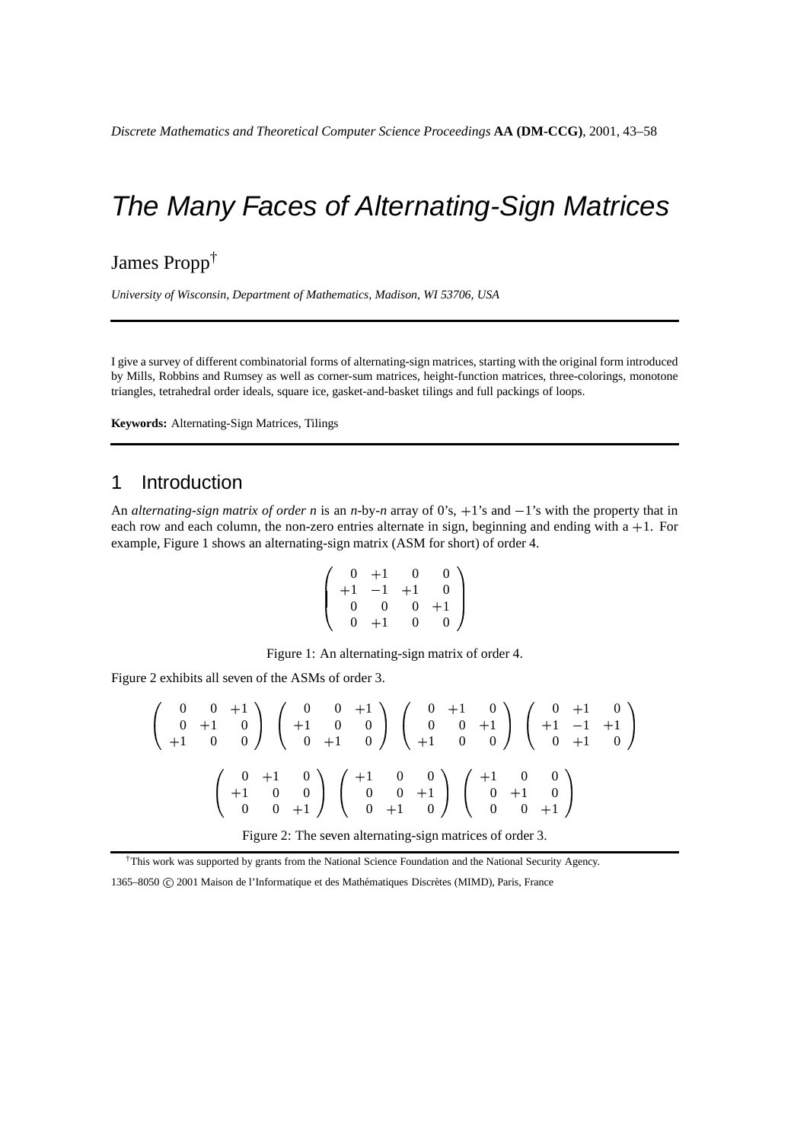James Propp†

*University of Wisconsin, Department of Mathematics, Madison, WI 53706, USA*

I give a survey of different combinatorial forms of alternating-sign matrices, starting with the original form introduced by Mills, Robbins and Rumsey as well as corner-sum matrices, height-function matrices, three-colorings, monotone triangles, tetrahedral order ideals, square ice, gasket-and-basket tilings and full packings of loops.

**Keywords:** Alternating-Sign Matrices, Tilings

# 1 Introduction

An *alternating-sign matrix of order n* is an *n*-by-*n* array of 0's,  $+1$ 's and  $-1$ 's with the property that in each row and each column, the non-zero entries alternate in sign, beginning and ending with a +1. For example, Figure 1 shows an alternating-sign matrix (ASM for short) of order 4.

$$
\left(\begin{array}{cccc} 0 & +1 & 0 & 0 \\ +1 & -1 & +1 & 0 \\ 0 & 0 & 0 & +1 \\ 0 & +1 & 0 & 0 \end{array}\right)
$$

Figure 1: An alternating-sign matrix of order 4.

Figure 2 exhibits all seven of the ASMs of order 3.

$$
\begin{pmatrix}\n0 & 0 & +1 \\
0 & +1 & 0 \\
+1 & 0 & 0\n\end{pmatrix}\n\begin{pmatrix}\n0 & 0 & +1 \\
+1 & 0 & 0 \\
0 & +1 & 0\n\end{pmatrix}\n\begin{pmatrix}\n0 & +1 & 0 \\
0 & 0 & +1 \\
+1 & 0 & 0\n\end{pmatrix}\n\begin{pmatrix}\n0 & +1 & 0 \\
+1 & -1 & +1 \\
0 & +1 & 0\n\end{pmatrix}
$$
\n
$$
\begin{pmatrix}\n0 & +1 & 0 \\
+1 & 0 & 0 \\
0 & 0 & +1\n\end{pmatrix}\n\begin{pmatrix}\n+1 & 0 & 0 \\
0 & 0 & +1 \\
0 & +1 & 0\n\end{pmatrix}\n\begin{pmatrix}\n+1 & 0 & 0 \\
0 & +1 & 0 \\
0 & 0 & +1\n\end{pmatrix}
$$

Figure 2: The seven alternating-sign matrices of order 3.

†This work was supported by grants from the National Science Foundation and the National Security Agency.

1365–8050 C 2001 Maison de l'Informatique et des Mathématiques Discrètes (MIMD), Paris, France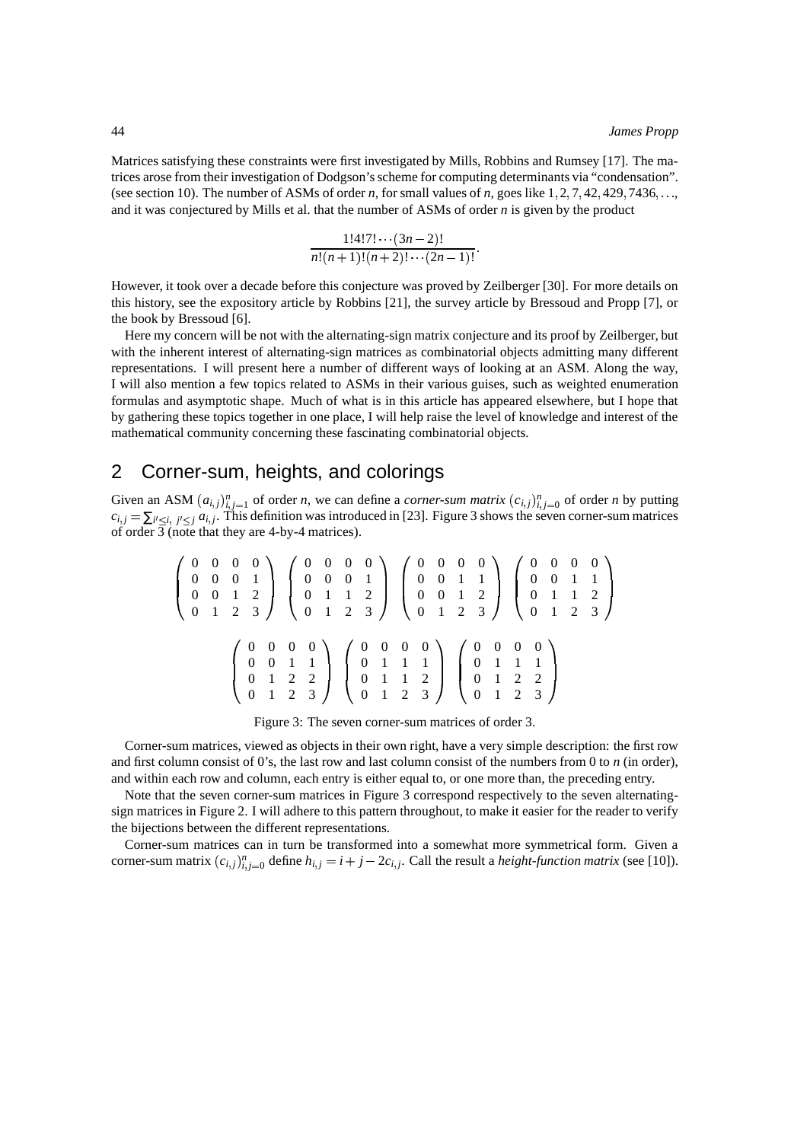Matrices satisfying these constraints were first investigated by Mills, Robbins and Rumsey [17]. The matrices arose from their investigation of Dodgson'sscheme for computing determinants via "condensation". (see section 10). The number of ASMs of order *n*, for small values of *n*, goes like  $1, 2, 7, 42, 429, 7436, \ldots$ and it was conjectured by Mills et al. that the number of ASMs of order *n* is given by the product

$$
\frac{1!4!7!\cdots(3n-2)!}{n!(n+1)!(n+2)!\cdots(2n-1)!}.
$$

However, it took over a decade before this conjecture was proved by Zeilberger [30]. For more details on this history, see the expository article by Robbins [21], the survey article by Bressoud and Propp [7], or the book by Bressoud [6].

Here my concern will be not with the alternating-sign matrix conjecture and its proof by Zeilberger, but with the inherent interest of alternating-sign matrices as combinatorial objects admitting many different representations. I will present here a number of different ways of looking at an ASM. Along the way, I will also mention a few topics related to ASMs in their various guises, such as weighted enumeration formulas and asymptotic shape. Much of what is in this article has appeared elsewhere, but I hope that by gathering these topics together in one place, I will help raise the level of knowledge and interest of the mathematical community concerning these fascinating combinatorial objects.

# 2 Corner-sum, heights, and colorings

Given an ASM  $(a_{i,j})_{i,j=1}^n$  of order *n*, we can define a *corner-sum matrix*  $(c_{i,j})_{i,j=0}^n$  of order *n* by putting  $c_{i,j} = \sum_{i' \leq i, j' \leq j} a_{i,j}$ . This definition was introduced in [23]. Figure 3 shows the seven corner-sum matrices of order 3 (note that they are 4-by-4 matrices).

$$
\begin{pmatrix}\n0 & 0 & 0 & 0 & 0 \\
0 & 0 & 0 & 1 & 1 \\
0 & 0 & 1 & 2 & 3\n\end{pmatrix}\n\begin{pmatrix}\n0 & 0 & 0 & 0 & 0 \\
0 & 0 & 0 & 1 & 1 \\
0 & 1 & 1 & 2 & 3 \\
0 & 1 & 2 & 3\n\end{pmatrix}\n\begin{pmatrix}\n0 & 0 & 0 & 0 & 0 \\
0 & 0 & 1 & 1 & 1 \\
0 & 0 & 1 & 2 & 3 \\
0 & 1 & 2 & 3\n\end{pmatrix}\n\begin{pmatrix}\n0 & 0 & 0 & 0 & 0 \\
0 & 0 & 1 & 1 & 1 \\
0 & 1 & 2 & 3 & 3\n\end{pmatrix}\n\begin{pmatrix}\n0 & 0 & 0 & 0 & 0 \\
0 & 0 & 1 & 1 & 2 \\
0 & 1 & 1 & 1 & 1 \\
0 & 1 & 2 & 2 & 0 \\
0 & 1 & 2 & 3 & 3\n\end{pmatrix}
$$

Figure 3: The seven corner-sum matrices of order 3.

Corner-sum matrices, viewed as objects in their own right, have a very simple description: the first row and first column consist of 0's, the last row and last column consist of the numbers from 0 to *n* (in order), and within each row and column, each entry is either equal to, or one more than, the preceding entry.

Note that the seven corner-sum matrices in Figure 3 correspond respectively to the seven alternatingsign matrices in Figure 2. I will adhere to this pattern throughout, to make it easier for the reader to verify the bijections between the different representations.

Corner-sum matrices can in turn be transformed into a somewhat more symmetrical form. Given a corner-sum matrix  $(c_{i,j})_{i,j=0}^n$  define  $h_{i,j} = i + j - 2c_{i,j}$ . Call the result a *height-function matrix* (see [10]).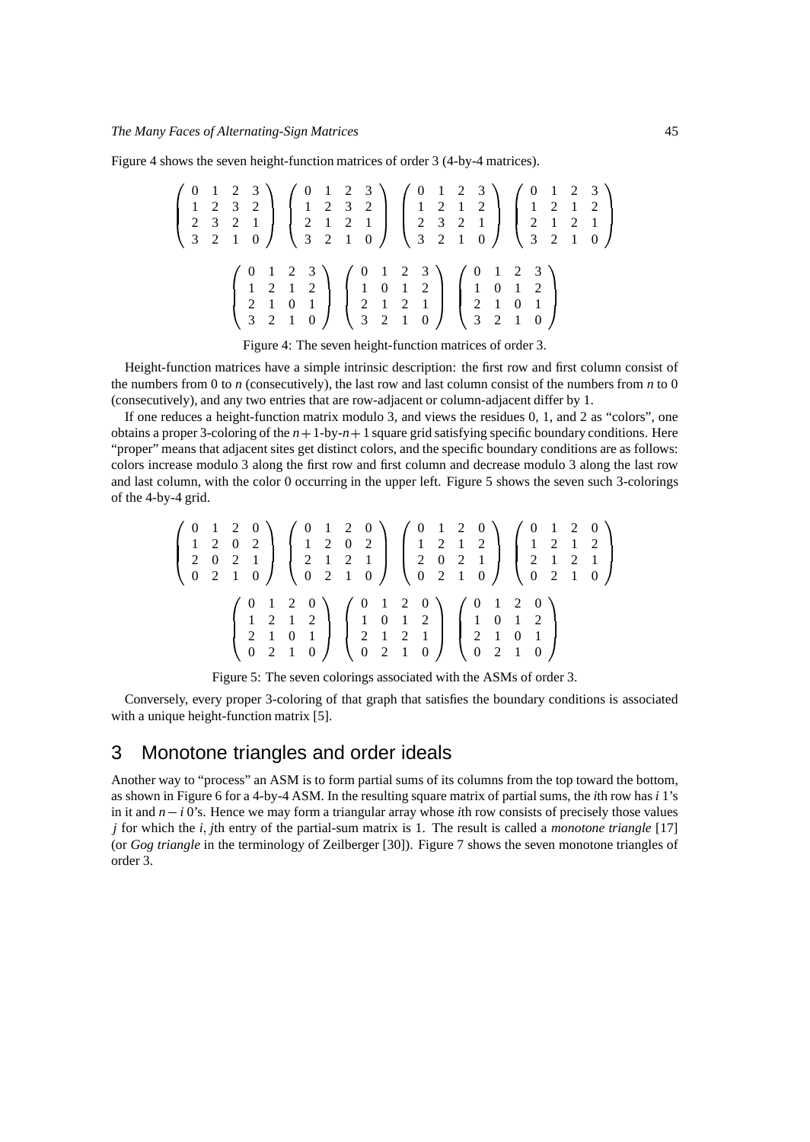Figure 4 shows the seven height-function matrices of order 3 (4-by-4 matrices).

$$
\begin{pmatrix}\n0 & 1 & 2 & 3 \\
1 & 2 & 3 & 2 \\
2 & 3 & 2 & 1 \\
3 & 2 & 1 & 0\n\end{pmatrix}\n\begin{pmatrix}\n0 & 1 & 2 & 3 \\
1 & 2 & 3 & 2 \\
2 & 1 & 2 & 1 \\
3 & 2 & 1 & 0\n\end{pmatrix}\n\begin{pmatrix}\n0 & 1 & 2 & 3 \\
1 & 2 & 1 & 2 \\
2 & 3 & 2 & 1 \\
3 & 2 & 1 & 0\n\end{pmatrix}\n\begin{pmatrix}\n0 & 1 & 2 & 3 \\
1 & 2 & 1 & 2 \\
2 & 3 & 2 & 1 \\
3 & 2 & 1 & 0\n\end{pmatrix}\n\begin{pmatrix}\n0 & 1 & 2 & 3 \\
2 & 1 & 2 & 1 \\
3 & 2 & 1 & 0\n\end{pmatrix}
$$
\n
$$
\begin{pmatrix}\n0 & 1 & 2 & 3 \\
1 & 2 & 1 & 2 \\
2 & 1 & 0 & 1 \\
3 & 2 & 1 & 0\n\end{pmatrix}\n\begin{pmatrix}\n0 & 1 & 2 & 3 \\
1 & 0 & 1 & 2 \\
2 & 1 & 2 & 1 \\
3 & 2 & 1 & 0\n\end{pmatrix}\n\begin{pmatrix}\n0 & 1 & 2 & 3 \\
1 & 0 & 1 & 2 \\
2 & 1 & 0 & 1 \\
3 & 2 & 1 & 0\n\end{pmatrix}
$$

Figure 4: The seven height-function matrices of order 3.

Height-function matrices have a simple intrinsic description: the first row and first column consist of the numbers from 0 to *n* (consecutively), the last row and last column consist of the numbers from *n* to 0 (consecutively), and any two entries that are row-adjacent or column-adjacent differ by 1.

If one reduces a height-function matrix modulo 3, and views the residues 0, 1, and 2 as "colors", one obtains a proper 3-coloring of the  $n+1$ -by- $n+1$  square grid satisfying specific boundary conditions. Here "proper" means that adjacent sites get distinct colors, and the specific boundary conditions are as follows: colors increase modulo 3 along the first row and first column and decrease modulo 3 along the last row and last column, with the color 0 occurring in the upper left. Figure 5 shows the seven such 3-colorings of the 4-by-4 grid.

|  | $\left(\begin{array}{rrrrr} 0 & 1 & 2 & 0 \\ 1 & 2 & 0 & 2 \\ 2 & 0 & 2 & 1 \\ 0 & 2 & 1 & 0 \end{array}\right) \left(\begin{array}{rrrrr} 0 & 1 & 2 & 0 \\ 1 & 2 & 0 & 2 \\ 2 & 1 & 2 & 1 \\ 0 & 2 & 1 & 0 \end{array}\right) \left(\begin{array}{rrrrr} 0 & 1 & 2 & 0 \\ 1 & 2 & 1 & 2 \\ 2 & 0 & 2 & 1 \\ 0 & 2 & 1 & 0 \end{array}\right) \left(\begin{array}{rrrrr} 0 & 1 & 2 & 0 \\ 1$ |  |
|--|----------------------------------------------------------------------------------------------------------------------------------------------------------------------------------------------------------------------------------------------------------------------------------------------------------------------------------------------------------------------------------------------|--|
|  | $\left(\begin{array}{cccc} 0 & 1 & 2 & 0 \\ 1 & 2 & 1 & 2 \\ 2 & 1 & 0 & 1 \\ 0 & 2 & 1 & 0 \end{array}\right) \quad \left(\begin{array}{cccc} 0 & 1 & 2 & 0 \\ 1 & 0 & 1 & 2 \\ 2 & 1 & 2 & 1 \\ 0 & 2 & 1 & 0 \end{array}\right) \quad \left(\begin{array}{cccc} 0 & 1 & 2 & 0 \\ 1 & 0 & 1 & 2 \\ 2 & 1 & 0 & 1 \\ 0 & 2 & 1 & 0 \end{array}\right)$                                      |  |

Figure 5: The seven colorings associated with the ASMs of order 3.

Conversely, every proper 3-coloring of that graph that satisfies the boundary conditions is associated with a unique height-function matrix [5].

# 3 Monotone triangles and order ideals

Another way to "process" an ASM is to form partial sums of its columns from the top toward the bottom, as shown in Figure 6 for a 4-by-4 ASM. In the resulting square matrix of partial sums, the *i*th row has *i* 1's in it and  $n - i$  0's. Hence we may form a triangular array whose *i*th row consists of precisely those values *j* for which the *i j*th entry of the partial-sum matrix is 1. The result is called a *monotone triangle* [17] (or *Gog triangle* in the terminology of Zeilberger [30]). Figure 7 shows the seven monotone triangles of order 3.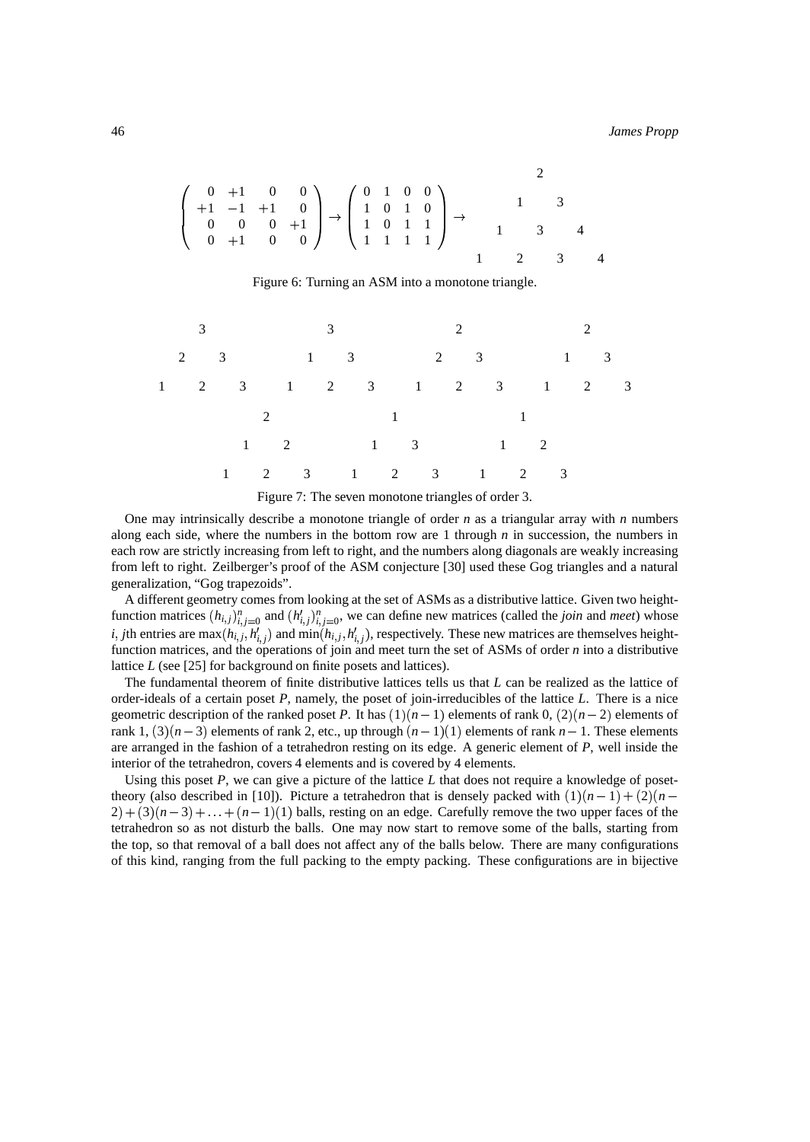$$
\left(\begin{array}{cccc} 0 & +1 & 0 & 0 \\ +1 & -1 & +1 & 0 \\ 0 & 0 & 0 & +1 \\ 0 & +1 & 0 & 0 \end{array}\right) \rightarrow \left(\begin{array}{cccc} 0 & 1 & 0 & 0 \\ 1 & 0 & 1 & 0 \\ 1 & 0 & 1 & 1 \\ 1 & 1 & 1 & 1 \end{array}\right) \rightarrow \left(\begin{array}{cccc} 2 & 0 & 0 & 0 \\ 1 & 0 & 0 & 0 \\ 1 & 0 & 1 & 1 \\ 1 & 1 & 1 & 1 \end{array}\right) \rightarrow \left(\begin{array}{cccc} 2 & 0 & 0 & 0 \\ 0 & 0 & 0 & 0 \\ 0 & 0 & 0 & 1 \\ 1 & 0 & 1 & 1 \end{array}\right) \rightarrow \left(\begin{array}{cccc} 2 & 0 & 0 & 0 \\ 0 & 0 & 0 & 0 \\ 0 & 0 & 0 & 1 \\ 1 & 0 & 1 & 1 \end{array}\right) \rightarrow \left(\begin{array}{cccc} 2 & 0 & 0 & 0 \\ 0 & 0 & 0 & 0 \\ 0 & 0 & 0 & 1 \\ 0 & 0 & 1 & 1 \end{array}\right) \rightarrow \left(\begin{array}{cccc} 2 & 0 & 0 & 0 \\ 0 & 0 & 0 & 0 \\ 0 & 0 & 0 & 1 \\ 0 & 0 & 1 & 1 \end{array}\right) \rightarrow \left(\begin{array}{cccc} 2 & 0 & 0 & 0 \\ 0 & 0 & 0 & 0 \\ 0 & 0 & 0 & 1 \\ 0 & 0 & 1 & 1 \end{array}\right) \rightarrow \left(\begin{array}{cccc} 2 & 0 & 0 & 0 \\ 0 & 0 & 0 & 0 \\ 0 & 0 & 0 & 1 \\ 0 & 0 & 1 & 1 \end{array}\right) \rightarrow \left(\begin{array}{cccc} 2 & 0 & 0 & 0 \\ 0 & 0 & 0 & 0 \\ 0 & 0 & 1 & 1 \\ 0 & 0 & 1 & 1 \end{array}\right) \rightarrow \left(\begin{array}{cccc} 2 & 0 & 0 & 0 \\ 0 & 0 & 0 & 0 \\ 0 & 0 & 1 & 1 \\ 0 & 0 & 1 & 1 \end{array}\right) \rightarrow \left(\begin{array}{cccc} 2 & 0 & 0 & 0 \\ 0 & 0 & 0 & 0 \\ 0 & 0 & 1 & 1 \\
$$

Figure 6: Turning an ASM into a monotone triangle.

3 2 3 1 2 3 3 1 3 1 2 3 2 2 3 1 2 3 2 1 3 1 2 3 2 1 2 1 2 3 1 1 3 1 2 3 1 1 2 1 2 3 Figure 7: The seven monotone triangles of order 3.

One may intrinsically describe a monotone triangle of order *n* as a triangular array with *n* numbers along each side, where the numbers in the bottom row are 1 through *n* in succession, the numbers in each row are strictly increasing from left to right, and the numbers along diagonals are weakly increasing from left to right. Zeilberger's proof of the ASM conjecture [30] used these Gog triangles and a natural generalization, "Gog trapezoids".

A different geometry comes from looking at the set of ASMs as a distributive lattice. Given two heightfunction matrices  $(h_{i,j})_{i,j=0}^n$  and  $(h'_{i,j})_{i,j=0}^n$ , we can define new matrices (called the *join* and *meet*) whose *i*, *j*th entries are max $(h_{i,j}, h'_{i,j})$  and min $(h_{i,j}, h'_{i,j})$ , respectively. These new matrices are themselves heightfunction matrices, and the operations of join and meet turn the set of ASMs of order *n* into a distributive lattice *L* (see [25] for background on finite posets and lattices).

The fundamental theorem of finite distributive lattices tells us that *L* can be realized as the lattice of order-ideals of a certain poset *P*, namely, the poset of join-irreducibles of the lattice *L*. There is a nice geometric description of the ranked poset P. It has  $(1)(n-1)$  elements of rank 0,  $(2)(n-2)$  elements of rank 1,  $(3)(n-3)$  elements of rank 2, etc., up through  $(n-1)(1)$  elements of rank  $n-1$ . These elements are arranged in the fashion of a tetrahedron resting on its edge. A generic element of *P*, well inside the interior of the tetrahedron, covers 4 elements and is covered by 4 elements.

Using this poset *P*, we can give a picture of the lattice *L* that does not require a knowledge of posettheory (also described in [10]). Picture a tetrahedron that is densely packed with  $(1)(n-1) + (2)(n-1)$  $2 + (3)(n-3) + ... + (n-1)(1)$  balls, resting on an edge. Carefully remove the two upper faces of the tetrahedron so as not disturb the balls. One may now start to remove some of the balls, starting from the top, so that removal of a ball does not affect any of the balls below. There are many configurations of this kind, ranging from the full packing to the empty packing. These configurations are in bijective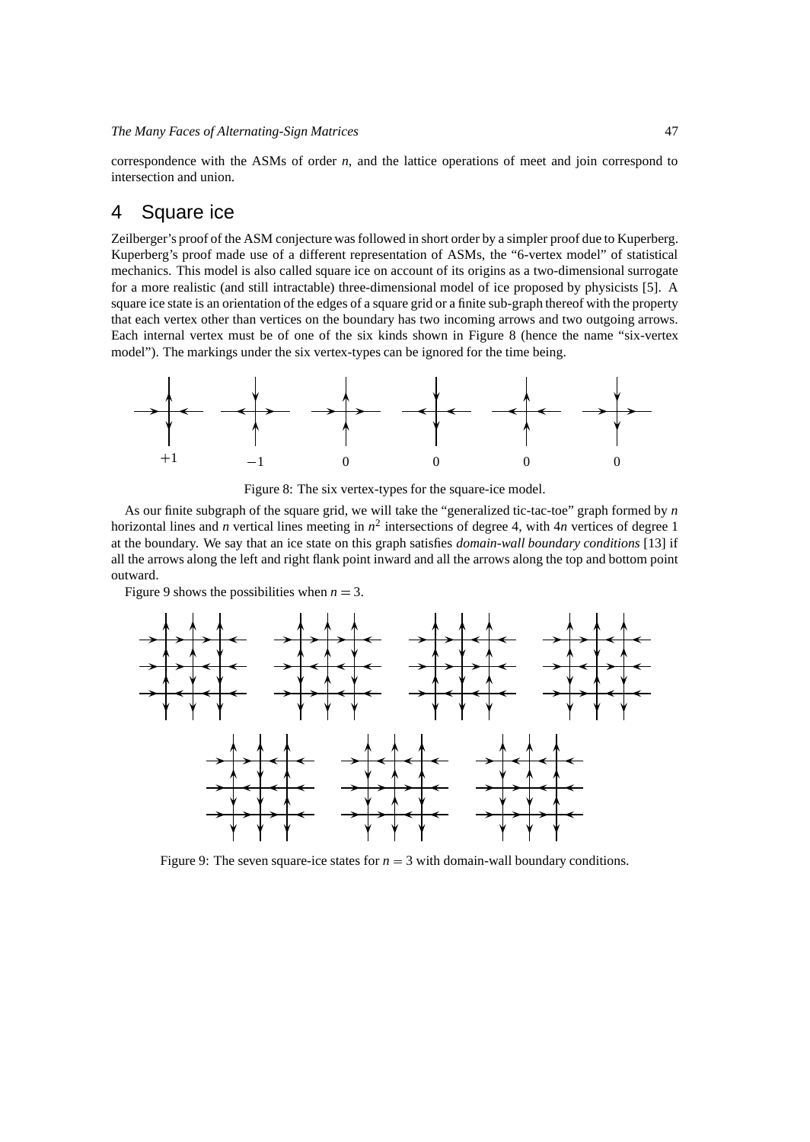correspondence with the ASMs of order *n*, and the lattice operations of meet and join correspond to intersection and union.

# 4 Square ice

Zeilberger's proof of the ASM conjecture was followed in short order by a simpler proof due to Kuperberg. Kuperberg's proof made use of a different representation of ASMs, the "6-vertex model" of statistical mechanics. This model is also called square ice on account of its origins as a two-dimensional surrogate for a more realistic (and still intractable) three-dimensional model of ice proposed by physicists [5]. A square ice state is an orientation of the edges of a square grid or a finite sub-graph thereof with the property that each vertex other than vertices on the boundary has two incoming arrows and two outgoing arrows. Each internal vertex must be of one of the six kinds shown in Figure 8 (hence the name "six-vertex model"). The markings under the six vertex-types can be ignored for the time being.



Figure 8: The six vertex-types for the square-ice model.

As our finite subgraph of the square grid, we will take the "generalized tic-tac-toe" graph formed by *n* horizontal lines and *n* vertical lines meeting in  $n^2$  intersections of degree 4, with 4*n* vertices of degree 1 at the boundary. We say that an ice state on this graph satisfies *domain-wall boundary conditions* [13] if all the arrows along the left and right flank point inward and all the arrows along the top and bottom point outward.

Figure 9 shows the possibilities when  $n = 3$ .



Figure 9: The seven square-ice states for  $n = 3$  with domain-wall boundary conditions.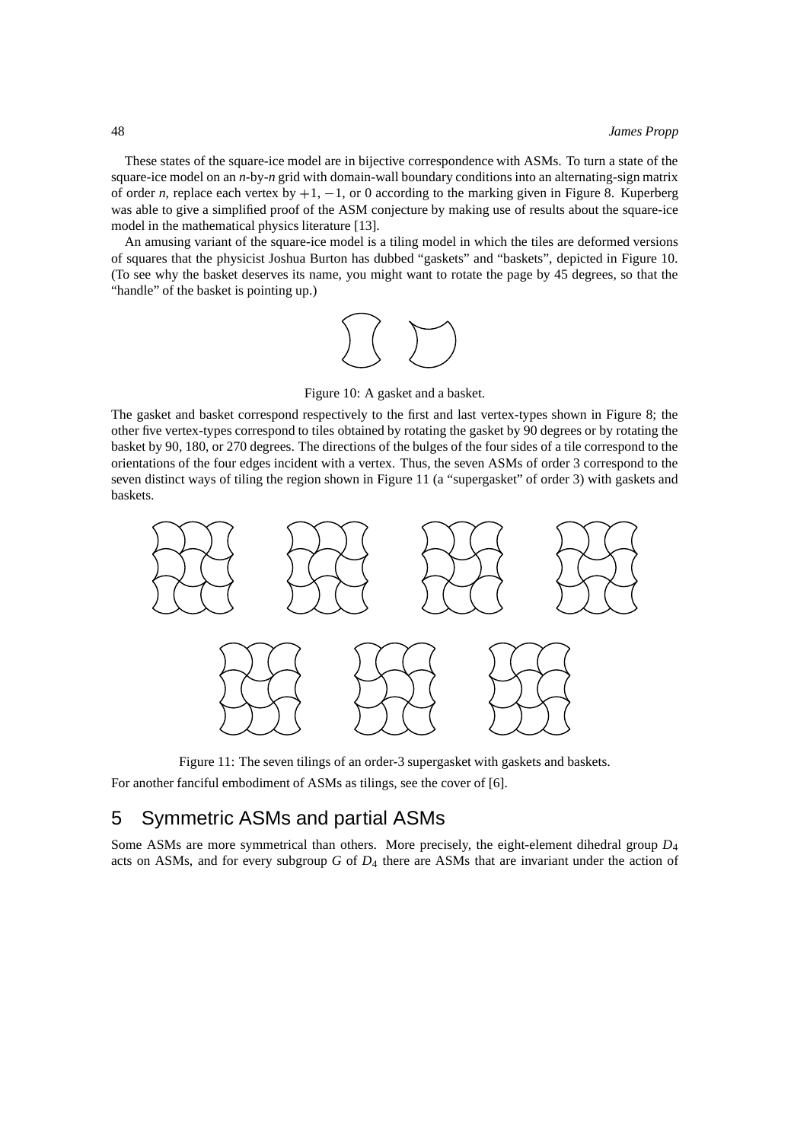These states of the square-ice model are in bijective correspondence with ASMs. To turn a state of the square-ice model on an *n*-by-*n* grid with domain-wall boundary conditions into an alternating-sign matrix of order *n*, replace each vertex by  $+1$ ,  $-1$ , or 0 according to the marking given in Figure 8. Kuperberg was able to give a simplified proof of the ASM conjecture by making use of results about the square-ice model in the mathematical physics literature [13].

An amusing variant of the square-ice model is a tiling model in which the tiles are deformed versions of squares that the physicist Joshua Burton has dubbed "gaskets" and "baskets", depicted in Figure 10. (To see why the basket deserves its name, you might want to rotate the page by 45 degrees, so that the "handle" of the basket is pointing up.)



Figure 10: A gasket and a basket.

The gasket and basket correspond respectively to the first and last vertex-types shown in Figure 8; the other five vertex-types correspond to tiles obtained by rotating the gasket by 90 degrees or by rotating the basket by 90, 180, or 270 degrees. The directions of the bulges of the four sides of a tile correspond to the orientations of the four edges incident with a vertex. Thus, the seven ASMs of order 3 correspond to the seven distinct ways of tiling the region shown in Figure 11 (a "supergasket" of order 3) with gaskets and baskets.



Figure 11: The seven tilings of an order-3 supergasket with gaskets and baskets. For another fanciful embodiment of ASMs as tilings, see the cover of [6].

# 5 Symmetric ASMs and partial ASMs

Some ASMs are more symmetrical than others. More precisely, the eight-element dihedral group *D*<sup>4</sup> acts on ASMs, and for every subgroup *G* of *D*<sup>4</sup> there are ASMs that are invariant under the action of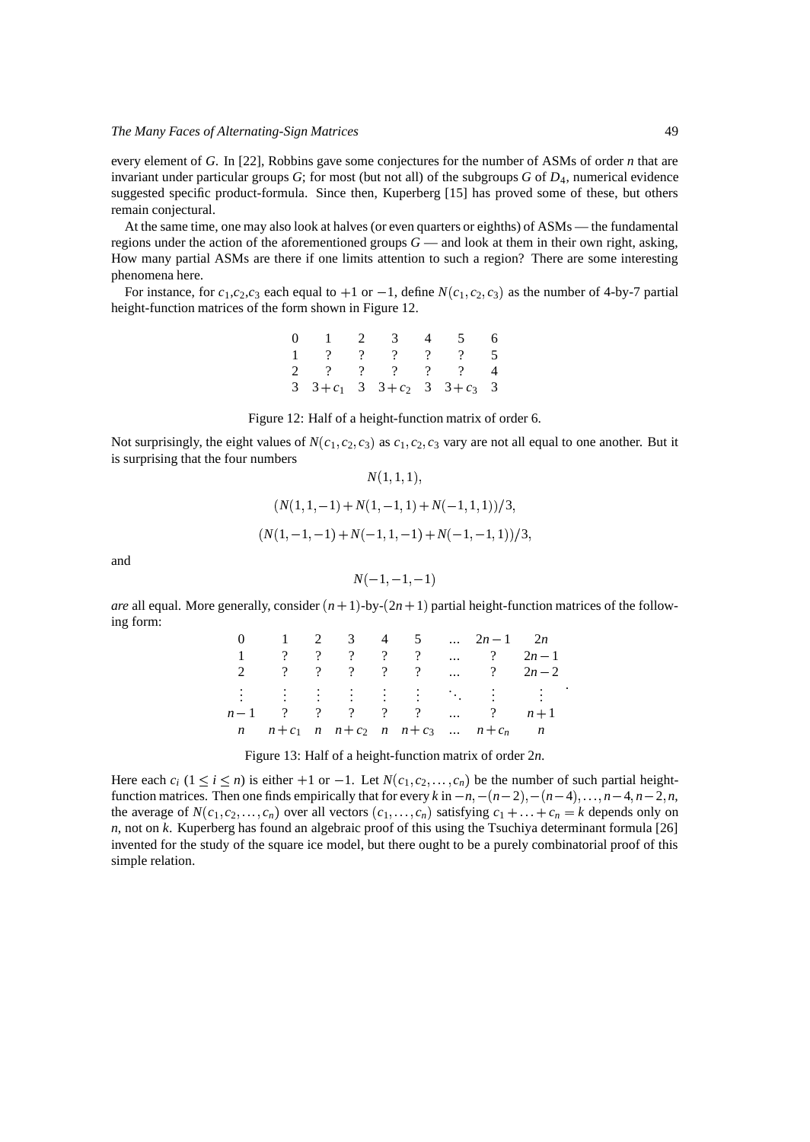every element of *G*. In [22], Robbins gave some conjectures for the number of ASMs of order *n* that are invariant under particular groups *G*; for most (but not all) of the subgroups *G* of *D*4, numerical evidence suggested specific product-formula. Since then, Kuperberg [15] has proved some of these, but others remain conjectural.

At the same time, one may also look at halves (or even quarters or eighths) of ASMs — the fundamental regions under the action of the aforementioned groups  $G$  — and look at them in their own right, asking, How many partial ASMs are there if one limits attention to such a region? There are some interesting phenomena here.

For instance, for  $c_1$ ,  $c_2$ ,  $c_3$  each equal to  $+1$  or  $-1$ , define  $N(c_1, c_2, c_3)$  as the number of 4-by-7 partial height-function matrices of the form shown in Figure 12.

| 0 1 2 3 4 5 6                                       |  |  |  |
|-----------------------------------------------------|--|--|--|
| 1 ? ? ? ? ? 5                                       |  |  |  |
| $2 \quad ? \quad ? \quad ? \quad ? \quad ? \quad 4$ |  |  |  |
| 3 $3+c_1$ 3 $3+c_2$ 3 $3+c_3$ 3                     |  |  |  |

Figure 12: Half of a height-function matrix of order 6.

Not surprisingly, the eight values of  $N(c_1, c_2, c_3)$  as  $c_1, c_2, c_3$  vary are not all equal to one another. But it is surprising that the four numbers

$$
N(1,1,1),
$$
  
\n
$$
(N(1,1,-1)+N(1,-1,1)+N(-1,1,1))/3,
$$
  
\n
$$
(N(1,-1,-1)+N(-1,1,-1)+N(-1,-1,1))/3,
$$

and

$$
N(-1,-1,-1)
$$

*are* all equal. More generally, consider  $(n + 1)$ -by- $(2n + 1)$  partial height-function matrices of the following form:

|  |  |  | 0 1 2 3 4 5 $\ldots$ 2n - 1 2n                                                     |  |
|--|--|--|------------------------------------------------------------------------------------|--|
|  |  |  | 1 ? ? ? ? ?  ? $2n-1$                                                              |  |
|  |  |  | 2 ? ? ? ? ?  ? $2n-2$                                                              |  |
|  |  |  |                                                                                    |  |
|  |  |  | $n-1$ ? ? ? ? ?  ? $n+1$                                                           |  |
|  |  |  | $n \quad n+c_1 \quad n \quad n+c_2 \quad n \quad n+c_3 \quad  \quad n+c_n \quad n$ |  |

Figure 13: Half of a height-function matrix of order 2*n*.

Here each  $c_i$  ( $1 \le i \le n$ ) is either  $+1$  or  $-1$ . Let  $N(c_1, c_2, \ldots, c_n)$  be the number of such partial heightfunction matrices. Then one finds empirically that for every k in  $-n$ ,  $-(n-2)$ ,  $-(n-4)$ ,  $\dots$ ,  $n-4$ ,  $n-2$ ,  $n$ , the average of  $N(c_1, c_2, \ldots, c_n)$  over all vectors  $(c_1, \ldots, c_n)$  satisfying  $c_1 + \ldots + c_n = k$  depends only on *n*, not on *k*. Kuperberg has found an algebraic proof of this using the Tsuchiya determinant formula [26] invented for the study of the square ice model, but there ought to be a purely combinatorial proof of this simple relation.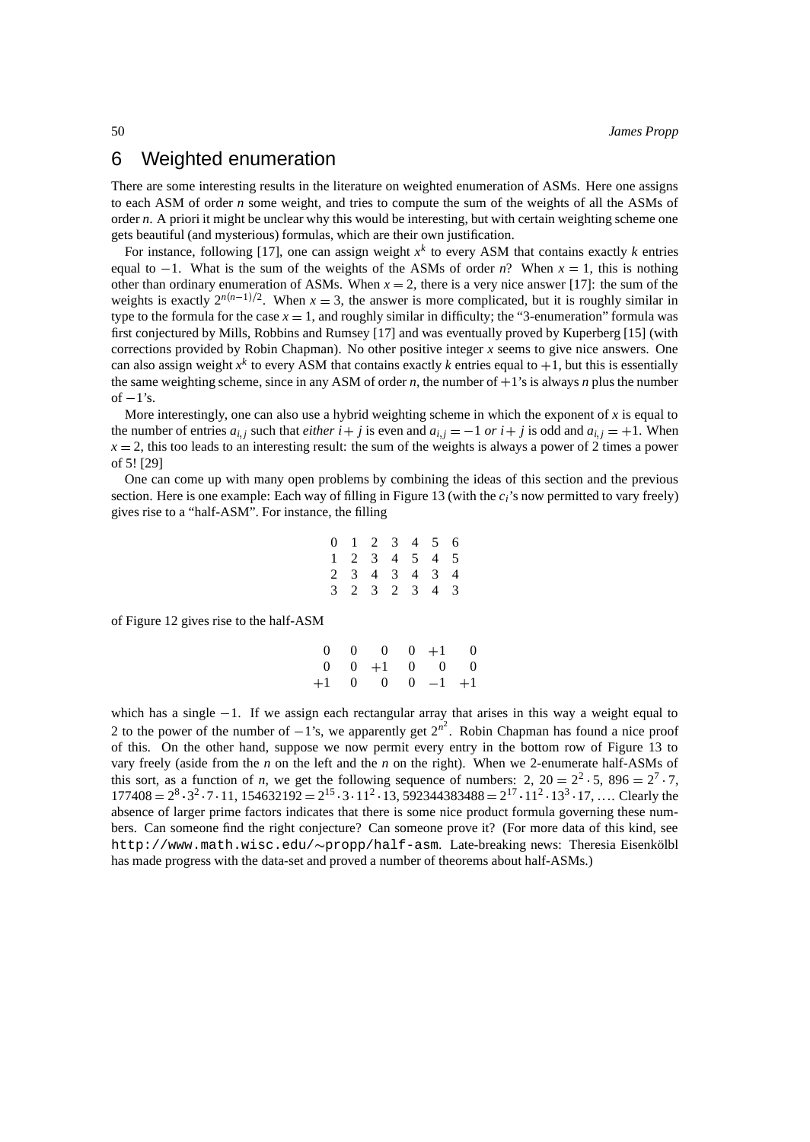### 6 Weighted enumeration

There are some interesting results in the literature on weighted enumeration of ASMs. Here one assigns to each ASM of order *n* some weight, and tries to compute the sum of the weights of all the ASMs of order *n*. A priori it might be unclear why this would be interesting, but with certain weighting scheme one gets beautiful (and mysterious) formulas, which are their own justification.

For instance, following [17], one can assign weight *x k* to every ASM that contains exactly *k* entries equal to  $-1$ . What is the sum of the weights of the ASMs of order *n*? When  $x = 1$ , this is nothing other than ordinary enumeration of ASMs. When  $x = 2$ , there is a very nice answer [17]: the sum of the weights is exactly  $2^{n(n-1)/2}$ . When  $x = 3$ , the answer is more complicated, but it is roughly similar in type to the formula for the case  $x = 1$ , and roughly similar in difficulty; the "3-enumeration" formula was first conjectured by Mills, Robbins and Rumsey [17] and was eventually proved by Kuperberg [15] (with corrections provided by Robin Chapman). No other positive integer *x* seems to give nice answers. One can also assign weight  $x^k$  to every ASM that contains exactly  $k$  entries equal to  $+1$ , but this is essentially the same weighting scheme, since in any ASM of order  $n$ , the number of  $+1$ 's is always  $n$  plus the number of  $-1$ 's.

More interestingly, one can also use a hybrid weighting scheme in which the exponent of  $x$  is equal to the number of entries  $a_{i,j}$  such that *either*  $i + j$  is even and  $a_{i,j} = -1$  or  $i + j$  is odd and  $a_{i,j} = +1$ . When  $x = 2$ , this too leads to an interesting result: the sum of the weights is always a power of 2 times a power of 5! [29]

One can come up with many open problems by combining the ideas of this section and the previous section. Here is one example: Each way of filling in Figure 13 (with the  $c_i$ 's now permitted to vary freely) gives rise to a "half-ASM". For instance, the filling

$$
\begin{array}{ccccccccc}\n0 & 1 & 2 & 3 & 4 & 5 & 6 \\
1 & 2 & 3 & 4 & 5 & 4 & 5 \\
2 & 3 & 4 & 3 & 4 & 3 & 4 \\
3 & 2 & 3 & 2 & 3 & 4 & 3\n\end{array}
$$

of Figure 12 gives rise to the half-ASM

|  | $0 \t 0 \t 0 \t 0 \t +1 \t 0$ |  |  |
|--|-------------------------------|--|--|
|  | $0 \t 0 \t +1 \t 0 \t 0 \t 0$ |  |  |
|  | $+1$ 0 0 0 $-1$ $+1$          |  |  |

which has a single  $-1$ . If we assign each rectangular array that arises in this way a weight equal to 2 to the power of the number of  $-1$ 's, we apparently get  $2^{n^2}$ . Robin Chapman has found a nice proof of this. On the other hand, suppose we now permit every entry in the bottom row of Figure 13 to vary freely (aside from the *n* on the left and the *n* on the right). When we 2-enumerate half-ASMs of this sort, as a function of *n*, we get the following sequence of numbers: 2,  $20 = 2^2 \cdot 5$ ,  $896 = 2^7 \cdot 7$ ,  $177408 = 2^8 \cdot 3^2 \cdot 7 \cdot 11$ ,  $154632192 = 2^{15} \cdot 3 \cdot 11^2 \cdot 13$ ,  $592344383488 = 2^{17} \cdot 11^2 \cdot 13^3 \cdot 17$ , .... Clearly the absence of larger prime factors indicates that there is some nice product formula governing these numbers. Can someone find the right conjecture? Can someone prove it? (For more data of this kind, see http://www.math.wisc.edu/~propp/half-asm. Late-breaking news: Theresia Eisenkölbl has made progress with the data-set and proved a number of theorems about half-ASMs.)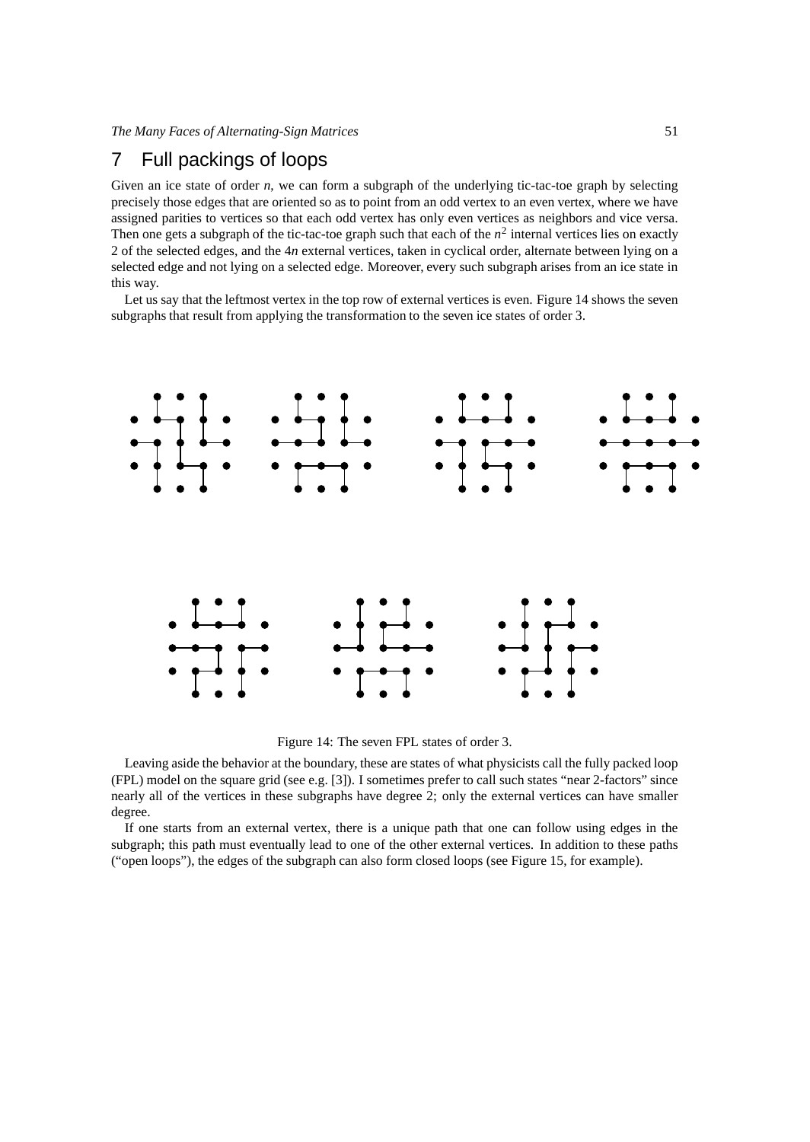# 7 Full packings of loops

Given an ice state of order *n*, we can form a subgraph of the underlying tic-tac-toe graph by selecting precisely those edges that are oriented so as to point from an odd vertex to an even vertex, where we have assigned parities to vertices so that each odd vertex has only even vertices as neighbors and vice versa. Then one gets a subgraph of the tic-tac-toe graph such that each of the  $n^2$  internal vertices lies on exactly 2 of the selected edges, and the 4*n* external vertices, taken in cyclical order, alternate between lying on a selected edge and not lying on a selected edge. Moreover, every such subgraph arises from an ice state in this way.

Let us say that the leftmost vertex in the top row of external vertices is even. Figure 14 shows the seven subgraphs that result from applying the transformation to the seven ice states of order 3.



Figure 14: The seven FPL states of order 3.

Leaving aside the behavior at the boundary, these are states of what physicists call the fully packed loop (FPL) model on the square grid (see e.g. [3]). I sometimes prefer to call such states "near 2-factors" since nearly all of the vertices in these subgraphs have degree 2; only the external vertices can have smaller degree.

If one starts from an external vertex, there is a unique path that one can follow using edges in the subgraph; this path must eventually lead to one of the other external vertices. In addition to these paths ("open loops"), the edges of the subgraph can also form closed loops (see Figure 15, for example).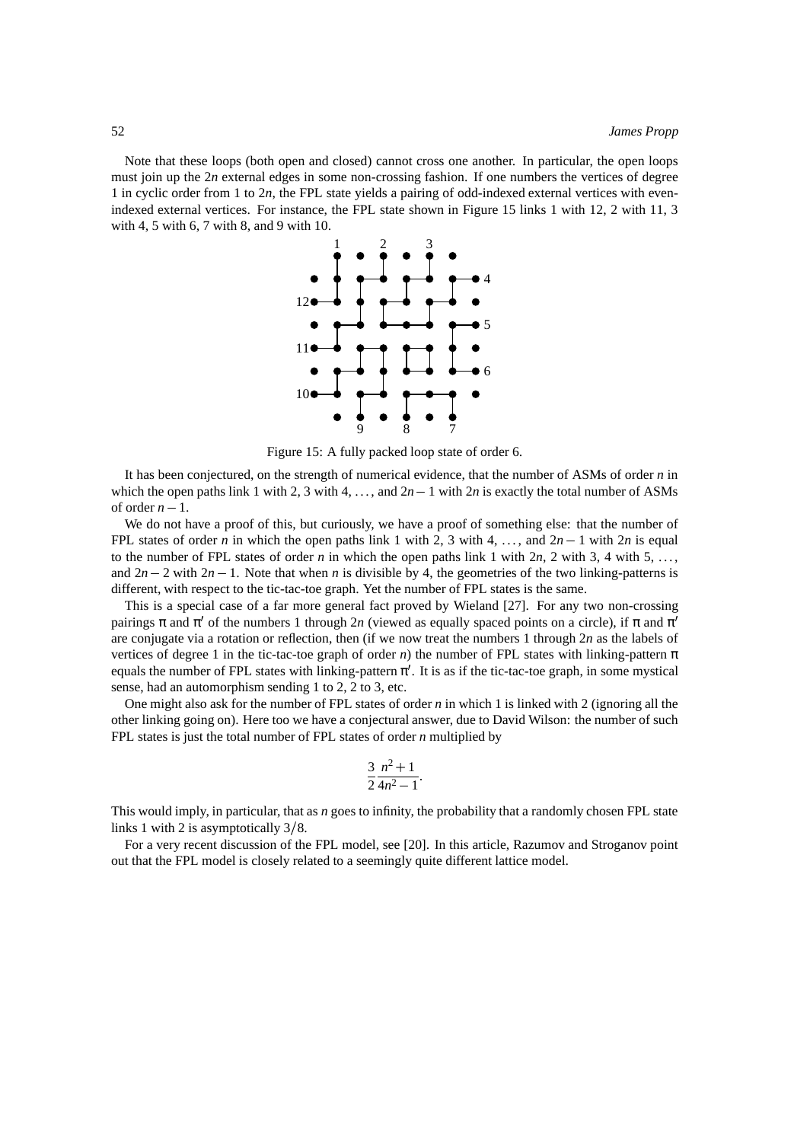Note that these loops (both open and closed) cannot cross one another. In particular, the open loops must join up the 2*n* external edges in some non-crossing fashion. If one numbers the vertices of degree 1 in cyclic order from 1 to 2*n*, the FPL state yields a pairing of odd-indexed external vertices with evenindexed external vertices. For instance, the FPL state shown in Figure 15 links 1 with 12, 2 with 11, 3 with 4, 5 with 6, 7 with 8, and 9 with 10.



Figure 15: A fully packed loop state of order 6.

It has been conjectured, on the strength of numerical evidence, that the number of ASMs of order *n* in which the open paths link 1 with 2, 3 with 4, ..., and  $2n - 1$  with  $2n$  is exactly the total number of ASMs of order  $n - 1$ .

We do not have a proof of this, but curiously, we have a proof of something else: that the number of FPL states of order *n* in which the open paths link 1 with 2, 3 with 4, ..., and  $2n - 1$  with 2*n* is equal to the number of FPL states of order  $n$  in which the open paths link 1 with  $2n$ , 2 with 3, 4 with 5, ..., and  $2n - 2$  with  $2n - 1$ . Note that when *n* is divisible by 4, the geometries of the two linking-patterns is different, with respect to the tic-tac-toe graph. Yet the number of FPL states is the same.

This is a special case of a far more general fact proved by Wieland [27]. For any two non-crossing pairings  $\pi$  and  $\pi'$  of the numbers 1 through 2*n* (viewed as equally spaced points on a circle), if  $\pi$  and  $\pi$ are conjugate via a rotation or reflection, then (if we now treat the numbers 1 through 2*n* as the labels of vertices of degree 1 in the tic-tac-toe graph of order *n*) the number of FPL states with linking-pattern  $\pi$ equals the number of FPL states with linking-pattern  $\pi'$ . It is as if the tic-tac-toe graph, in some mystical sense, had an automorphism sending 1 to 2, 2 to 3, etc.

One might also ask for the number of FPL states of order *n* in which 1 is linked with 2 (ignoring all the other linking going on). Here too we have a conjectural answer, due to David Wilson: the number of such FPL states is just the total number of FPL states of order *n* multiplied by

$$
\frac{3}{2}\frac{n^2+1}{4n^2-1}.
$$

This would imply, in particular, that as *n* goes to infinity, the probability that a randomly chosen FPL state links 1 with 2 is asymptotically 3 8.

For a very recent discussion of the FPL model, see [20]. In this article, Razumov and Stroganov point out that the FPL model is closely related to a seemingly quite different lattice model.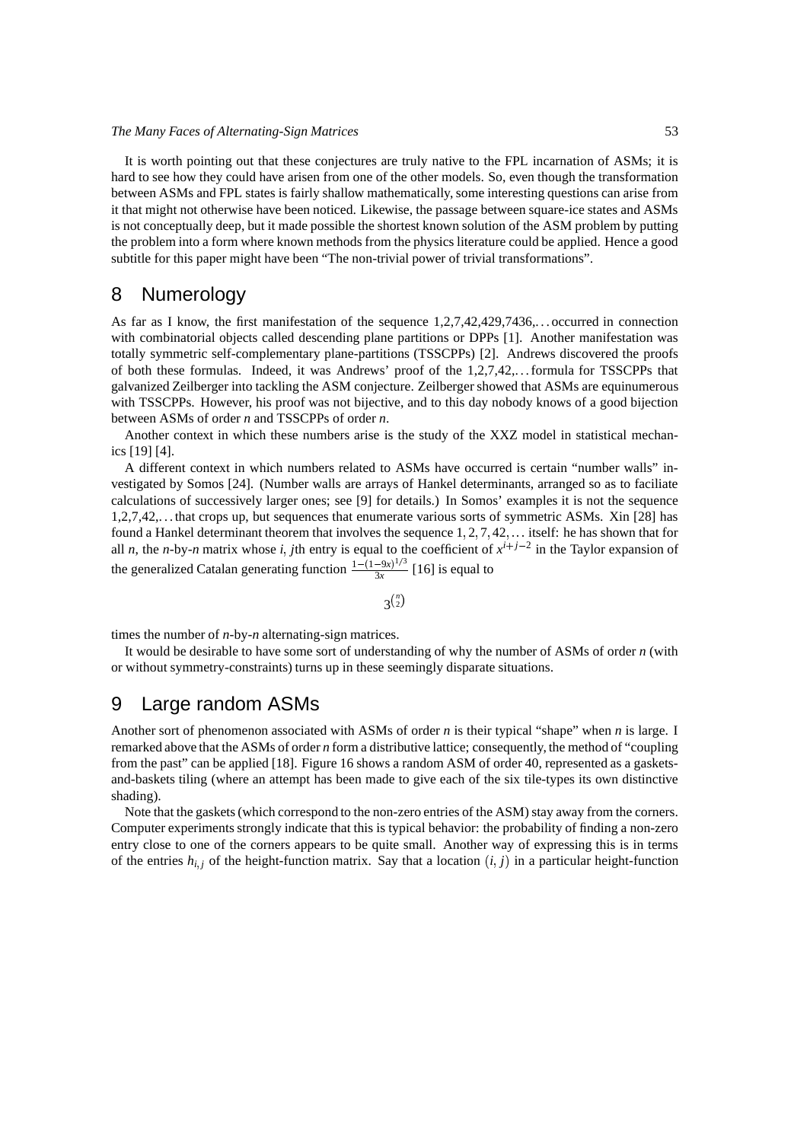It is worth pointing out that these conjectures are truly native to the FPL incarnation of ASMs; it is hard to see how they could have arisen from one of the other models. So, even though the transformation between ASMs and FPL states is fairly shallow mathematically, some interesting questions can arise from it that might not otherwise have been noticed. Likewise, the passage between square-ice states and ASMs is not conceptually deep, but it made possible the shortest known solution of the ASM problem by putting the problem into a form where known methods from the physics literature could be applied. Hence a good subtitle for this paper might have been "The non-trivial power of trivial transformations".

# 8 Numerology

As far as I know, the first manifestation of the sequence 1,2,7,42,429,7436,. . . occurred in connection with combinatorial objects called descending plane partitions or DPPs [1]. Another manifestation was totally symmetric self-complementary plane-partitions (TSSCPPs) [2]. Andrews discovered the proofs of both these formulas. Indeed, it was Andrews' proof of the 1,2,7,42,. . .formula for TSSCPPs that galvanized Zeilberger into tackling the ASM conjecture. Zeilberger showed that ASMs are equinumerous with TSSCPPs. However, his proof was not bijective, and to this day nobody knows of a good bijection between ASMs of order *n* and TSSCPPs of order *n*.

Another context in which these numbers arise is the study of the XXZ model in statistical mechanics [19] [4].

A different context in which numbers related to ASMs have occurred is certain "number walls" investigated by Somos [24]. (Number walls are arrays of Hankel determinants, arranged so as to faciliate calculations of successively larger ones; see [9] for details.) In Somos' examples it is not the sequence 1,2,7,42,. . . that crops up, but sequences that enumerate various sorts of symmetric ASMs. Xin [28] has found a Hankel determinant theorem that involves the sequence  $1, 2, 7, 42, \ldots$  itself: he has shown that for all *n*, the *n*-by-*n* matrix whose *i*, *j*th entry is equal to the coefficient of  $x^{i+j-2}$  in the Taylor expansion of the generalized Catalan generating function  $\frac{1-(1-9x)^{1/3}}{3x}$  [16  $\frac{-9x}{3x}$  [16] is equal to

 $3^{n \choose 2}$ 

times the number of *n*-by-*n* alternating-sign matrices.

It would be desirable to have some sort of understanding of why the number of ASMs of order *n* (with or without symmetry-constraints) turns up in these seemingly disparate situations.

### 9 Large random ASMs

Another sort of phenomenon associated with ASMs of order *n* is their typical "shape" when *n* is large. I remarked above that the ASMs of order *n* form a distributive lattice; consequently, the method of "coupling from the past" can be applied [18]. Figure 16 shows a random ASM of order 40, represented as a gasketsand-baskets tiling (where an attempt has been made to give each of the six tile-types its own distinctive shading).

Note that the gaskets(which correspond to the non-zero entries of the ASM) stay away from the corners. Computer experiments strongly indicate that this is typical behavior: the probability of finding a non-zero entry close to one of the corners appears to be quite small. Another way of expressing this is in terms of the entries  $h_{i,j}$  of the height-function matrix. Say that a location  $(i, j)$  in a particular height-function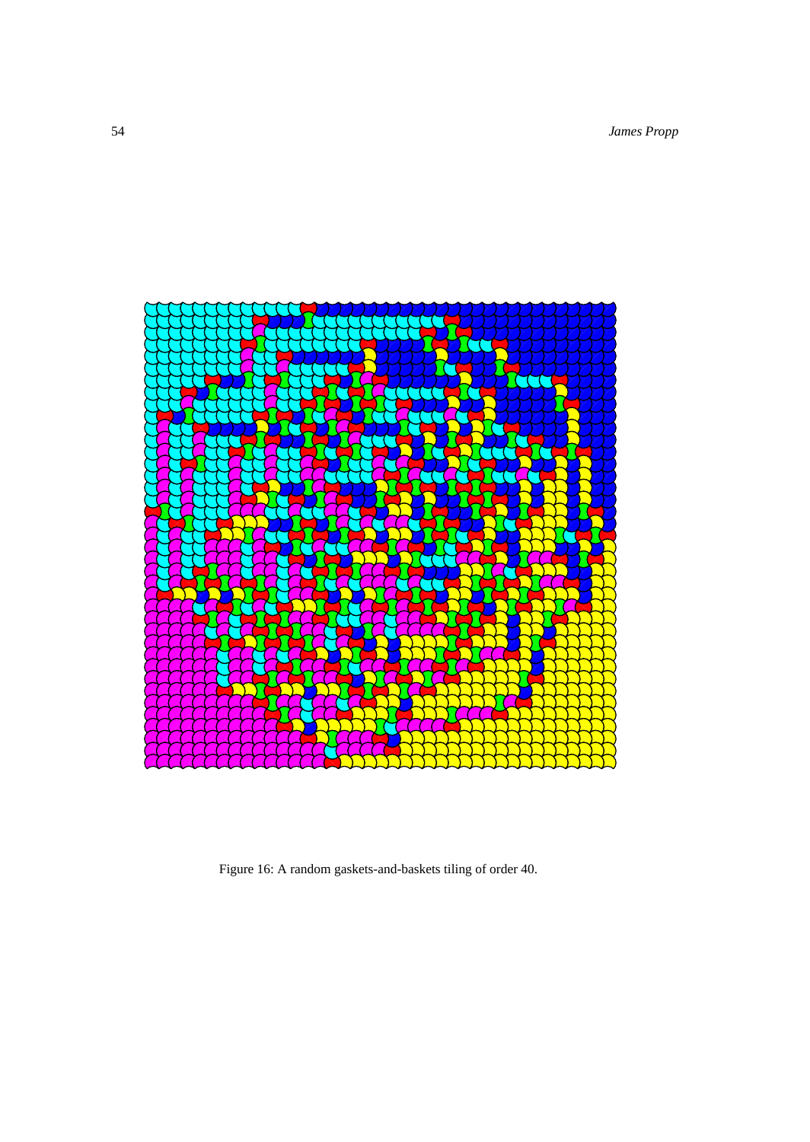54 *James Propp*



Figure 16: A random gaskets-and-baskets tiling of order 40.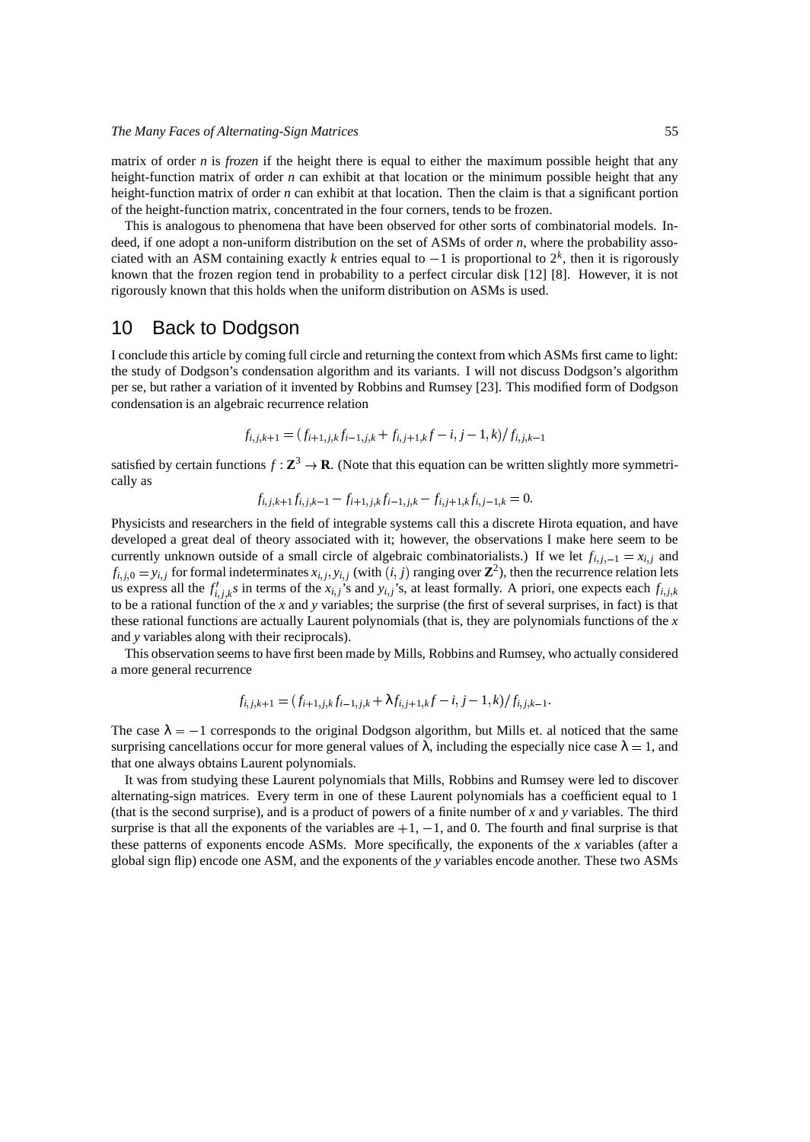matrix of order *n* is *frozen* if the height there is equal to either the maximum possible height that any height-function matrix of order *n* can exhibit at that location or the minimum possible height that any height-function matrix of order *n* can exhibit at that location. Then the claim is that a significant portion of the height-function matrix, concentrated in the four corners, tends to be frozen.

This is analogous to phenomena that have been observed for other sorts of combinatorial models. Indeed, if one adopt a non-uniform distribution on the set of ASMs of order *n*, where the probability associated with an ASM containing exactly  $k$  entries equal to  $-1$  is proportional to  $2^k$ , then it is rigorously known that the frozen region tend in probability to a perfect circular disk [12] [8]. However, it is not rigorously known that this holds when the uniform distribution on ASMs is used.

### 10 Back to Dodgson

I conclude this article by coming full circle and returning the context from which ASMs first came to light: the study of Dodgson's condensation algorithm and its variants. I will not discuss Dodgson's algorithm per se, but rather a variation of it invented by Robbins and Rumsey [23]. This modified form of Dodgson condensation is an algebraic recurrence relation

$$
f_{i,j,k+1} = (f_{i+1,j,k}f_{i-1,j,k} + f_{i,j+1,k}f - i, j-1,k)/f_{i,j,k-1}
$$

satisfied by certain functions  $f : \mathbb{Z}^3 \to \mathbb{R}$ . (Note that this equation can be written slightly more symmetrically as

$$
f_{i,j,k+1}f_{i,j,k-1} - f_{i+1,j,k}f_{i-1,j,k} - f_{i,j+1,k}f_{i,j-1,k} = 0.
$$

Physicists and researchers in the field of integrable systems call this a discrete Hirota equation, and have developed a great deal of theory associated with it; however, the observations I make here seem to be currently unknown outside of a small circle of algebraic combinatorialists.) If we let  $f_{i,j,-1} = x_{i,j}$  and  $f_{i,j,0} = y_{i,j}$  for formal indeterminates  $x_{i,j}, y_{i,j}$  (with  $(i,j)$  ranging over  $\mathbb{Z}^2$ ), then the recurrence relation lets us express all the  $f'_{i,j,k}$ s in terms of the  $x_{i,j}$ 's and  $y_{i,j}$ 's, at least formally. A priori, one expects each  $f_{i,j,k}$ to be a rational function of the *x* and *y* variables; the surprise (the first of several surprises, in fact) is that these rational functions are actually Laurent polynomials (that is, they are polynomials functions of the *x* and *y* variables along with their reciprocals).

This observation seems to have first been made by Mills, Robbins and Rumsey, who actually considered a more general recurrence

$$
f_{i,j,k+1} = (f_{i+1,j,k}f_{i-1,j,k} + \lambda f_{i,j+1,k}f - i, j-1,k)/f_{i,j,k-1}.
$$

The case  $\lambda = -1$  corresponds to the original Dodgson algorithm, but Mills et. al noticed that the same surprising cancellations occur for more general values of  $\lambda$ , including the especially nice case  $\lambda = 1$ , and that one always obtains Laurent polynomials.

It was from studying these Laurent polynomials that Mills, Robbins and Rumsey were led to discover alternating-sign matrices. Every term in one of these Laurent polynomials has a coefficient equal to 1 (that is the second surprise), and is a product of powers of a finite number of *x* and *y* variables. The third surprise is that all the exponents of the variables are  $+1$ ,  $-1$ , and 0. The fourth and final surprise is that these patterns of exponents encode ASMs. More specifically, the exponents of the *x* variables (after a global sign flip) encode one ASM, and the exponents of the *y* variables encode another. These two ASMs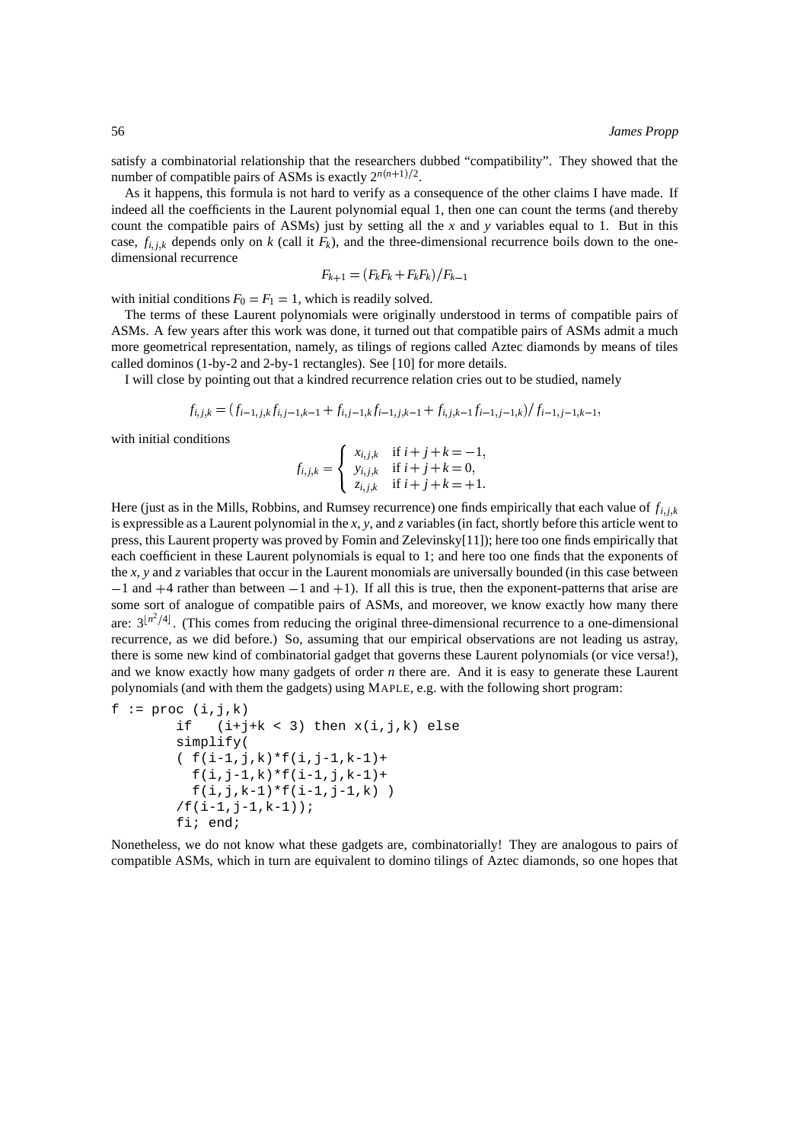satisfy a combinatorial relationship that the researchers dubbed "compatibility". They showed that the number of compatible pairs of ASMs is exactly  $2^{n(n+1)/2}$ .

As it happens, this formula is not hard to verify as a consequence of the other claims I have made. If indeed all the coefficients in the Laurent polynomial equal 1, then one can count the terms (and thereby count the compatible pairs of ASMs) just by setting all the *x* and *y* variables equal to 1. But in this case,  $f_{i,i,k}$  depends only on k (call it  $F_k$ ), and the three-dimensional recurrence boils down to the onedimensional recurrence

$$
F_{k+1} = \frac{F_k F_k + F_k F_k}{F_{k-1}}
$$

with initial conditions  $F_0 = F_1 = 1$ , which is readily solved.

The terms of these Laurent polynomials were originally understood in terms of compatible pairs of ASMs. A few years after this work was done, it turned out that compatible pairs of ASMs admit a much more geometrical representation, namely, as tilings of regions called Aztec diamonds by means of tiles called dominos (1-by-2 and 2-by-1 rectangles). See [10] for more details.

I will close by pointing out that a kindred recurrence relation cries out to be studied, namely

$$
f_{i,j,k} = (f_{i-1,j,k}f_{i,j-1,k-1} + f_{i,j-1,k}f_{i-1,j,k-1} + f_{i,j,k-1}f_{i-1,j-1,k})/f_{i-1,j-1,k-1},
$$

with initial conditions

$$
f_{i,j,k} = \begin{cases} x_{i,j,k} & \text{if } i+j+k=-1, \\ y_{i,j,k} & \text{if } i+j+k=0, \\ z_{i,j,k} & \text{if } i+j+k=+1. \end{cases}
$$

Here (just as in the Mills, Robbins, and Rumsey recurrence) one finds empirically that each value of  $f_{i,j,k}$ is expressible as a Laurent polynomial in the *x*, *y*, and *z* variables (in fact, shortly before this article went to press, this Laurent property was proved by Fomin and Zelevinsky[11]); here too one finds empirically that each coefficient in these Laurent polynomials is equal to 1; and here too one finds that the exponents of the *x*, *y* and *z* variables that occur in the Laurent monomials are universally bounded (in this case between  $-1$  and  $+4$  rather than between  $-1$  and  $+1$ ). If all this is true, then the exponent-patterns that arise are some sort of analogue of compatible pairs of ASMs, and moreover, we know exactly how many there are:  $3^{n^2/4}$ . (This comes from reducing the original three-dimensional recurrence to a one-dimensional recurrence, as we did before.) So, assuming that our empirical observations are not leading us astray, there is some new kind of combinatorial gadget that governs these Laurent polynomials (or vice versa!), and we know exactly how many gadgets of order *n* there are. And it is easy to generate these Laurent polynomials (and with them the gadgets) using MAPLE, e.g. with the following short program:

```
f := \text{proc}(i,j,k)if (i+j+k < 3) then x(i,j,k) else
        simplify(
        (f(i-1,j,k)*f(i,j-1,k-1)+f(i,j-1,k)*f(i-1,j,k-1)+f(i,j,k-1)*f(i-1,j-1,k))
        /f(i-1,j-1,k-1));fi; end;
```
Nonetheless, we do not know what these gadgets are, combinatorially! They are analogous to pairs of compatible ASMs, which in turn are equivalent to domino tilings of Aztec diamonds, so one hopes that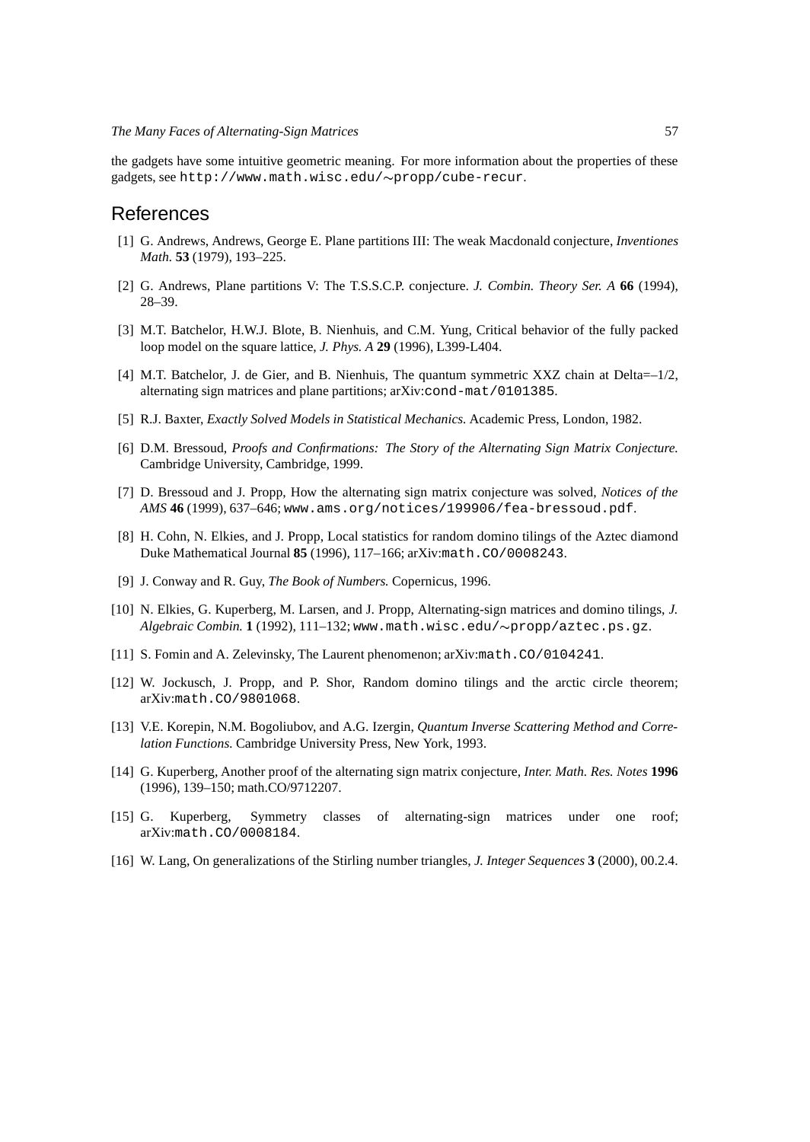the gadgets have some intuitive geometric meaning. For more information about the properties of these gadgets, see http://www.math.wisc.edu/~propp/cube-recur.

### References

- [1] G. Andrews, Andrews, George E. Plane partitions III: The weak Macdonald conjecture, *Inventiones Math.* **53** (1979), 193–225.
- [2] G. Andrews, Plane partitions V: The T.S.S.C.P. conjecture. *J. Combin. Theory Ser. A* **66** (1994), 28–39.
- [3] M.T. Batchelor, H.W.J. Blote, B. Nienhuis, and C.M. Yung, Critical behavior of the fully packed loop model on the square lattice, *J. Phys. A* **29** (1996), L399-L404.
- [4] M.T. Batchelor, J. de Gier, and B. Nienhuis, The quantum symmetric XXZ chain at Delta=–1/2, alternating sign matrices and plane partitions; arXiv:cond-mat/0101385.
- [5] R.J. Baxter, *Exactly Solved Models in Statistical Mechanics.* Academic Press, London, 1982.
- [6] D.M. Bressoud, *Proofs and Confirmations: The Story of the Alternating Sign Matrix Conjecture.* Cambridge University, Cambridge, 1999.
- [7] D. Bressoud and J. Propp, How the alternating sign matrix conjecture was solved, *Notices of the AMS* **46** (1999), 637–646; www.ams.org/notices/199906/fea-bressoud.pdf.
- [8] H. Cohn, N. Elkies, and J. Propp, Local statistics for random domino tilings of the Aztec diamond Duke Mathematical Journal **85** (1996), 117–166; arXiv:math.CO/0008243.
- [9] J. Conway and R. Guy, *The Book of Numbers.* Copernicus, 1996.
- [10] N. Elkies, G. Kuperberg, M. Larsen, and J. Propp, Alternating-sign matrices and domino tilings, *J. Algebraic Combin.* **1** (1992), 111–132; www.math.wisc.edu/propp/aztec.ps.gz.
- [11] S. Fomin and A. Zelevinsky, The Laurent phenomenon; arXiv:math.CO/0104241.
- [12] W. Jockusch, J. Propp, and P. Shor, Random domino tilings and the arctic circle theorem; arXiv:math.CO/9801068.
- [13] V.E. Korepin, N.M. Bogoliubov, and A.G. Izergin, *Quantum Inverse Scattering Method and Correlation Functions.* Cambridge University Press, New York, 1993.
- [14] G. Kuperberg, Another proof of the alternating sign matrix conjecture, *Inter. Math. Res. Notes* **1996** (1996), 139–150; math.CO/9712207.
- [15] G. Kuperberg, Symmetry classes of alternating-sign matrices under one roof; arXiv:math.CO/0008184.
- [16] W. Lang, On generalizations of the Stirling number triangles, *J. Integer Sequences* **3** (2000), 00.2.4.